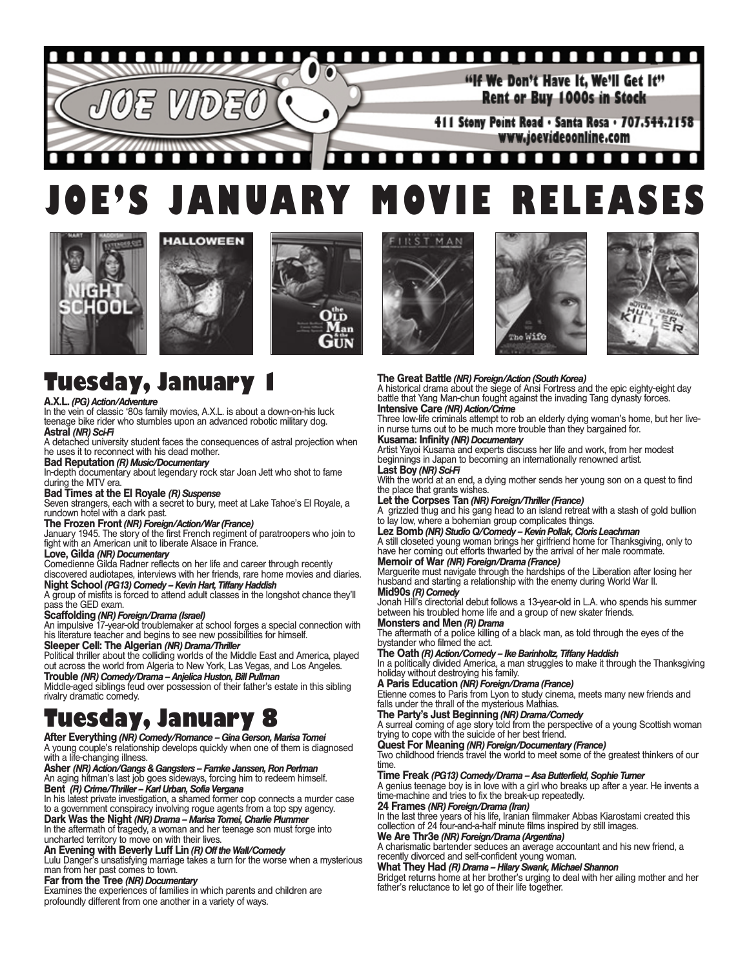### <u>1111111112</u> O

"If We Don't Have It. We'll Get It" Rent or Buy 1000s in Stock

411 Stony Point Road . Santa Rosa . 707.544.2158 www.joevideoonline.com

### П п n п **TO** п . . . п п . . . **JOE'S JANUARY MOVIE RELEASES**







# **Tuesday, January 1**

### **A.X.L.** *(PG) Action/Adventure*

In the vein of classic '80s family movies, A.X.L. is about a down-on-his luck teenage bike rider who stumbles upon an advanced robotic military dog. **Astral** *(NR) Sci-Fi*

### A detached university student faces the consequences of astral projection when he uses it to reconnect with his dead mother.

**Bad Reputation** *(R) Music/Documentary* In-depth documentary about legendary rock star Joan Jett who shot to fame during the MTV era.

### **Bad Times at the El Royale** *(R) Suspense*

Seven strangers, each with a secret to bury, meet at Lake Tahoe's El Royale, a rundown hotel with a dark past.

### **The Frozen Front** *(NR) Foreign/Action/War (France)*

January 1945. The story of the first French regiment of paratroopers who join to fight with an American unit to liberate Alsace in France.

### **Love, Gilda** *(NR) Documentary*

Comedienne Gilda Radner reflects on her life and career through recently discovered audiotapes, interviews with her friends, rare home movies and diaries. **Night School** *(PG13) Comedy – Kevin Hart, Tiffany Haddish*

### A group of misfits is forced to attend adult classes in the longshot chance they'll pass the GED exam.

### **Scaffolding** *(NR) Foreign/Drama (Israel)*

An impulsive 17-year-old troublemaker at school forges a special connection with his literature teacher and begins to see new possibilities for himself.

**Sleeper Cell: The Algerian** *(NR) Drama/Thriller* Political thriller about the colliding worlds of the Middle East and America, played out across the world from Algeria to New York, Las Vegas, and Los Angeles. **Trouble** *(NR) Comedy/Drama – Anjelica Huston, Bill Pullman*

Middle-aged siblings feud over possession of their father's estate in this sibling rivalry dramatic comedy.

# **Tuesday, January 8**

**After Everything** *(NR) Comedy/Romance – Gina Gerson, Marisa Tomei* A young couple's relationship develops quickly when one of them is diagnosed with a life-changing illness.

### **Asher***(NR) Action/Gangs & Gangsters – Famke Janssen, Ron Perlman* An aging hitman's last job goes sideways, forcing him to redeem himself.

**Bent** *(R) Crime/Thriller – Karl Urban, Sofia Vergana* In his latest private investigation, a shamed former cop connects a murder case

### to a government conspiracy involving rogue agents from a top spy agency. **Dark Was the Night** *(NR) Drama – Marisa Tomei, Charlie Plummer*

In the aftermath of tragedy, a woman and her teenage son must forge into uncharted territory to move on with their lives.

## **An Evening with Beverly Luff Lin** *(R) Off the Wall/Comedy*

Lulu Danger's unsatisfying marriage takes a turn for the worse when a mysterious man from her past comes to town.

### **Far from the Tree** *(NR) Documentary*

Examines the experiences of families in which parents and children are profoundly different from one another in a variety of ways.







### **The Great Battle** *(NR) Foreign/Action (South Korea)*

A historical drama about the siege of Ansi Fortress and the epic eighty-eight day battle that Yang Man-chun fought against the invading Tang dynasty forces. **Intensive Care** *(NR) Action/Crime*

### Three low-life criminals attempt to rob an elderly dying woman's home, but her livein nurse turns out to be much more trouble than they bargained for.

**Kusama: Infinity** *(NR) Documentary* Artist Yayoi Kusama and experts discuss her life and work, from her modest beginnings in Japan to becoming an internationally renowned artist.

### **Last Boy** *(NR) Sci-Fi*

With the world at an end, a dying mother sends her young son on a quest to find the place that grants wishes.

### **Let the Corpses Tan** *(NR) Foreign/Thriller (France)*

A grizzled thug and his gang head to an island retreat with a stash of gold bullion to lay low, where a bohemian group complicates things.

**Lez Bomb** *(NR) Studio Q/Comedy – Kevin Pollak, Cloris Leachman* A still closeted young woman brings her girlfriend home for Thanksgiving, only to have her coming out efforts thwarted by the arrival of her male roommate.

# **Memoir of War** *(NR) Foreign/Drama (France)*

Marguerite must navigate through the hardships of the Liberation after losing her husband and starting a relationship with the enemy during World War II.

## **Mid90s** *(R) Comedy*

Jonah Hill's directorial debut follows a 13-year-old in L.A. who spends his summer between his troubled home life and a group of new skater friends. **Monsters and Men** *(R) Drama*

The aftermath of a police killing of a black man, as told through the eyes of the bystander who filmed the act.

### **The Oath** *(R) Action/Comedy – Ike Barinholtz, Tiffany Haddish*

In a politically divided America, a man struggles to make it through the Thanksgiving holiday without destroying his family.

## **A Paris Education** *(NR) Foreign/Drama (France)*

Etienne comes to Paris from Lyon to study cinema, meets many new friends and falls under the thrall of the mysterious Mathias.

### **The Party's Just Beginning** *(NR) Drama/Comedy*

A surreal coming of age story told from the perspective of a young Scottish woman trying to cope with the suicide of her best friend.

### **Quest For Meaning** *(NR) Foreign/Documentary (France)*

Two childhood friends travel the world to meet some of the greatest thinkers of our time.

### **Time Freak** *(PG13) Comedy/Drama – Asa Butterfield, Sophie Turner*

A genius teenage boy is in love with a girl who breaks up after a year. He invents a time-machine and tries to fix the break-up repeatedly.

**24 Frames** *(NR) Foreign/Drama (Iran)* In the last three years of his life, Iranian filmmaker Abbas Kiarostami created this collection of 24 four-and-a-half minute films inspired by still images.

# **We Are Thr3e** *(NR) Foreign/Drama (Argentina)*

A charismatic bartender seduces an average accountant and his new friend, a recently divorced and self-confident young woman.

### **What They Had** *(R) Drama – Hilary Swank, Michael Shannon*

Bridget returns home at her brother's urging to deal with her ailing mother and her father's reluctance to let go of their life together.